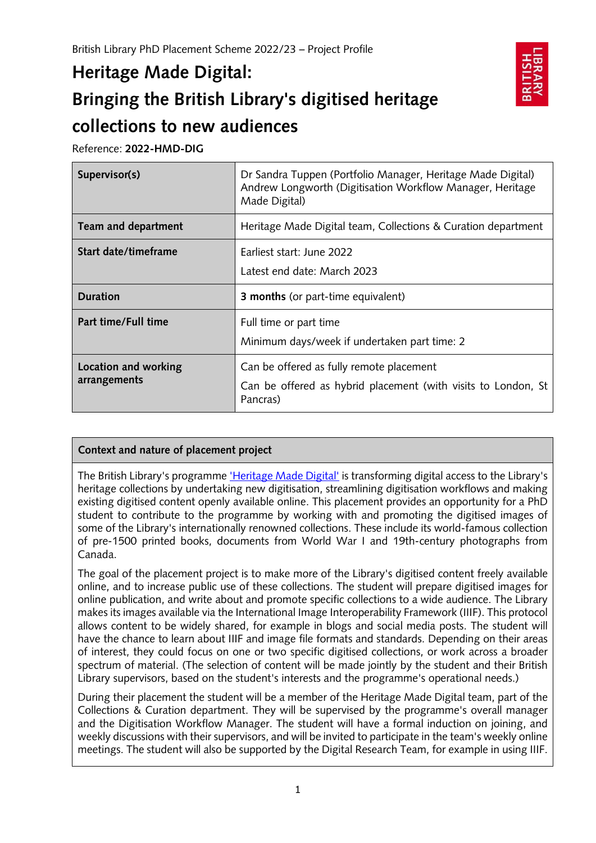# **Heritage Made Digital: Bringing the British Library's digitised heritage collections to new audiences**

Reference: **2022-HMD-DIG**

| Supervisor(s)        | Dr Sandra Tuppen (Portfolio Manager, Heritage Made Digital)<br>Andrew Longworth (Digitisation Workflow Manager, Heritage<br>Made Digital) |
|----------------------|-------------------------------------------------------------------------------------------------------------------------------------------|
| Team and department  | Heritage Made Digital team, Collections & Curation department                                                                             |
| Start date/timeframe | Farliest start: June 2022<br>Latest end date: March 2023                                                                                  |
|                      |                                                                                                                                           |
| <b>Duration</b>      | <b>3 months</b> (or part-time equivalent)                                                                                                 |
| Part time/Full time  | Full time or part time<br>Minimum days/week if undertaken part time: 2                                                                    |

## **Context and nature of placement project**

The British Library's programme *'Heritage Made Digital'* is transforming digital access to the Library's heritage collections by undertaking new digitisation, streamlining digitisation workflows and making existing digitised content openly available online. This placement provides an opportunity for a PhD student to contribute to the programme by working with and promoting the digitised images of some of the Library's internationally renowned collections. These include its world-famous collection of pre-1500 printed books, documents from World War I and 19th-century photographs from Canada.

The goal of the placement project is to make more of the Library's digitised content freely available online, and to increase public use of these collections. The student will prepare digitised images for online publication, and write about and promote specific collections to a wide audience. The Library makes its images available via the International Image Interoperability Framework (IIIF). This protocol allows content to be widely shared, for example in blogs and social media posts. The student will have the chance to learn about IIIF and image file formats and standards. Depending on their areas of interest, they could focus on one or two specific digitised collections, or work across a broader spectrum of material. (The selection of content will be made jointly by the student and their British Library supervisors, based on the student's interests and the programme's operational needs.)

During their placement the student will be a member of the Heritage Made Digital team, part of the Collections & Curation department. They will be supervised by the programme's overall manager and the Digitisation Workflow Manager. The student will have a formal induction on joining, and weekly discussions with their supervisors, and will be invited to participate in the team's weekly online meetings. The student will also be supported by the Digital Research Team, for example in using IIIF.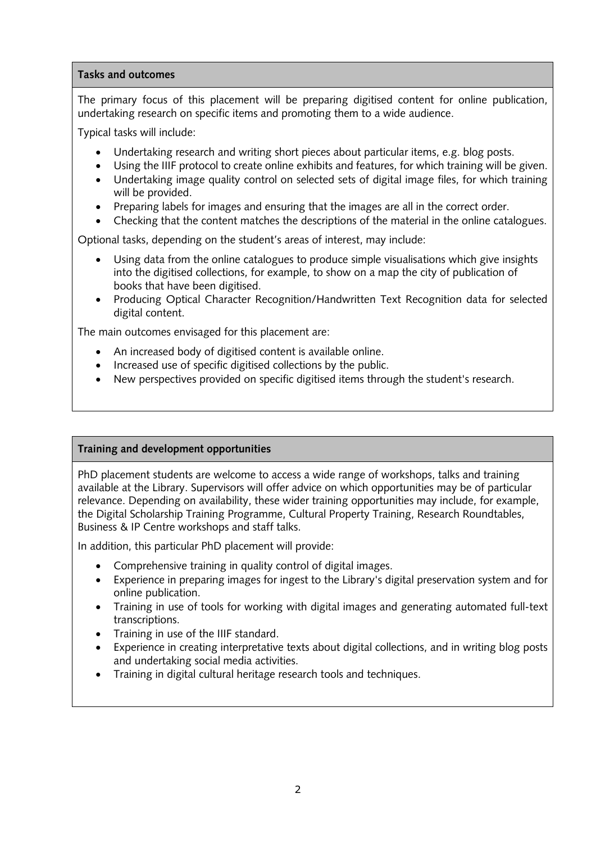#### **Tasks and outcomes**

The primary focus of this placement will be preparing digitised content for online publication, undertaking research on specific items and promoting them to a wide audience.

Typical tasks will include:

- Undertaking research and writing short pieces about particular items, e.g. blog posts.
- Using the IIIF protocol to create online exhibits and features, for which training will be given.
- Undertaking image quality control on selected sets of digital image files, for which training will be provided.
- Preparing labels for images and ensuring that the images are all in the correct order.
- Checking that the content matches the descriptions of the material in the online catalogues.

Optional tasks, depending on the student's areas of interest, may include:

- Using data from the online catalogues to produce simple visualisations which give insights into the digitised collections, for example, to show on a map the city of publication of books that have been digitised.
- Producing Optical Character Recognition/Handwritten Text Recognition data for selected digital content.

The main outcomes envisaged for this placement are:

- An increased body of digitised content is available online.
- Increased use of specific digitised collections by the public.
- New perspectives provided on specific digitised items through the student's research.

### **Training and development opportunities**

PhD placement students are welcome to access a wide range of workshops, talks and training available at the Library. Supervisors will offer advice on which opportunities may be of particular relevance. Depending on availability, these wider training opportunities may include, for example, the Digital Scholarship Training Programme, Cultural Property Training, Research Roundtables, Business & IP Centre workshops and staff talks.

In addition, this particular PhD placement will provide:

- Comprehensive training in quality control of digital images.
- Experience in preparing images for ingest to the Library's digital preservation system and for online publication.
- Training in use of tools for working with digital images and generating automated full-text transcriptions.
- Training in use of the IIIF standard.
- Experience in creating interpretative texts about digital collections, and in writing blog posts and undertaking social media activities.
- Training in digital cultural heritage research tools and techniques.